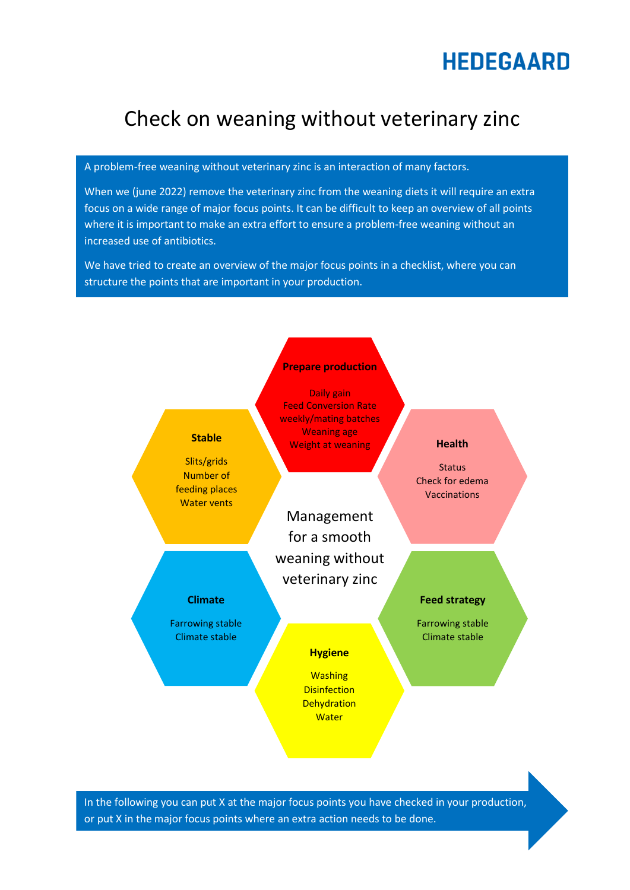# **HEDEGAARD**

# Check on weaning without veterinary zinc

A problem-free weaning without veterinary zinc is an interaction of many factors.

When we (june 2022) remove the veterinary zinc from the weaning diets it will require an extra focus on a wide range of major focus points. It can be difficult to keep an overview of all points where it is important to make an extra effort to ensure a problem-free weaning without an increased use of antibiotics.

We have tried to create an overview of the major focus points in a checklist, where you can structure the points that are important in your production.



In the following you can put X at the major focus points you have checked in your production, or put X in the major focus points where an extra action needs to be done.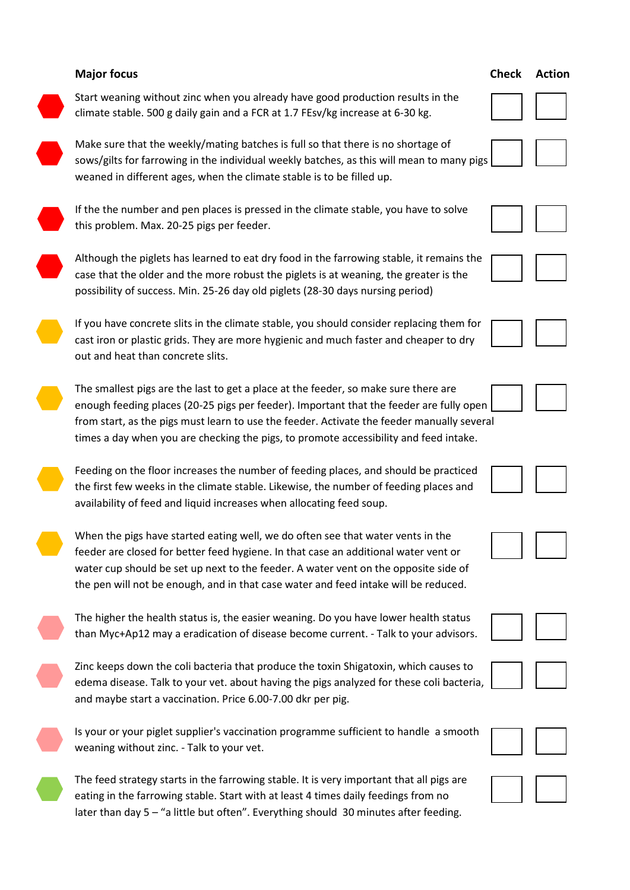# **Major focus** Check Action **Check Action Check Action** possibility of success. Min. 25-26 day old piglets (28-30 days nursing period)

The smallest pigs are the last to get a place at the feeder, so make sure there are enough feeding places (20-25 pigs per feeder). Important that the feeder are fully open from start, as the pigs must learn to use the feeder. Activate the feeder manually several times a day when you are checking the pigs, to promote accessibility and feed intake.

the first few weeks in the climate stable. Likewise, the number of feeding places and availability of feed and liquid increases when allocating feed soup.



The higher the health status is, the easier weaning. Do you have lower health status than Myc+Ap12 may a eradication of disease become current. - Talk to your advisors.

Zinc keeps down the coli bacteria that produce the toxin Shigatoxin, which causes to edema disease. Talk to your vet. about having the pigs analyzed for these coli bacteria, and maybe start a vaccination. Price 6.00-7.00 dkr per pig.

Is your or your piglet supplier's vaccination programme sufficient to handle a smooth weaning without zinc. - Talk to your vet.

The feed strategy starts in the farrowing stable. It is very important that all pigs are eating in the farrowing stable. Start with at least 4 times daily feedings from no later than day 5 – "a little but often". Everything should 30 minutes after feeding.

Start weaning without zinc when you already have good production results in the climate stable. 500 g daily gain and a FCR at 1.7 FEsv/kg increase at 6-30 kg.

Make sure that the weekly/mating batches is full so that there is no shortage of sows/gilts for farrowing in the individual weekly batches, as this will mean to many pigs weaned in different ages, when the climate stable is to be filled up.

If the the number and pen places is pressed in the climate stable, you have to solve this problem. Max. 20-25 pigs per feeder.

Although the piglets has learned to eat dry food in the farrowing stable, it remains the case that the older and the more robust the piglets is at weaning, the greater is the

If you have concrete slits in the climate stable, you should consider replacing them for cast iron or plastic grids. They are more hygienic and much faster and cheaper to dry out and heat than concrete slits.

Feeding on the floor increases the number of feeding places, and should be practiced











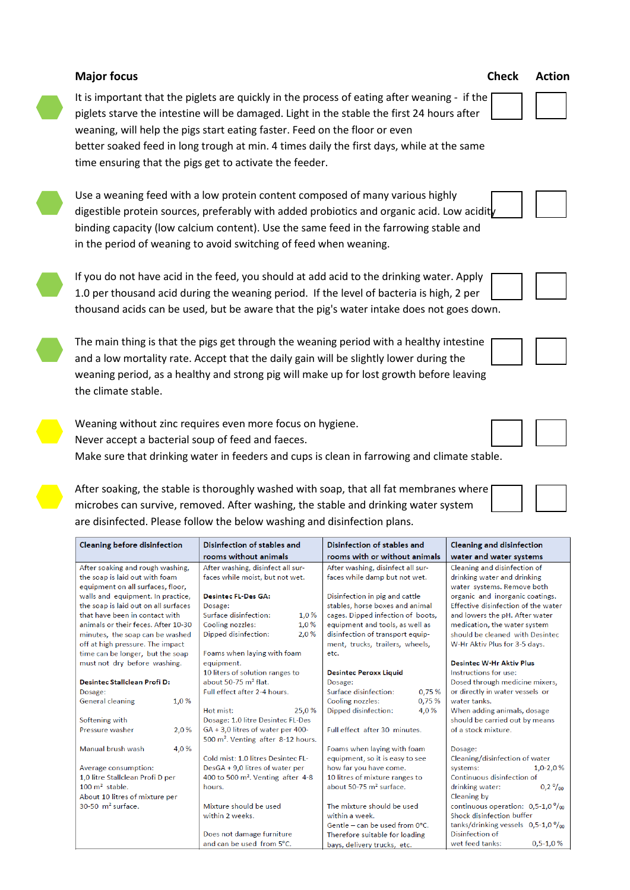|                                                                                    | digestible protein sources, preferably with added probiotics and organic acid. Low acidity<br>binding capacity (low calcium content). Use the same feed in the farrowing stable and<br>in the period of weaning to avoid switching of feed when weaning.                         | Use a weaning feed with a low protein content composed of many various highly |                                                                                                                                                                                                                                                                                                                        |
|------------------------------------------------------------------------------------|----------------------------------------------------------------------------------------------------------------------------------------------------------------------------------------------------------------------------------------------------------------------------------|-------------------------------------------------------------------------------|------------------------------------------------------------------------------------------------------------------------------------------------------------------------------------------------------------------------------------------------------------------------------------------------------------------------|
|                                                                                    | If you do not have acid in the feed, you should at add acid to the drinking water. Apply<br>1.0 per thousand acid during the weaning period. If the level of bacteria is high, 2 per<br>thousand acids can be used, but be aware that the pig's water intake does not goes down. |                                                                               |                                                                                                                                                                                                                                                                                                                        |
| the climate stable.                                                                | The main thing is that the pigs get through the weaning period with a healthy intestine<br>and a low mortality rate. Accept that the daily gain will be slightly lower during the<br>weaning period, as a healthy and strong pig will make up for lost growth before leaving     |                                                                               |                                                                                                                                                                                                                                                                                                                        |
|                                                                                    | Weaning without zinc requires even more focus on hygiene.                                                                                                                                                                                                                        |                                                                               |                                                                                                                                                                                                                                                                                                                        |
| Never accept a bacterial soup of feed and faeces.                                  |                                                                                                                                                                                                                                                                                  |                                                                               |                                                                                                                                                                                                                                                                                                                        |
|                                                                                    | Make sure that drinking water in feeders and cups is clean in farrowing and climate stable.                                                                                                                                                                                      |                                                                               |                                                                                                                                                                                                                                                                                                                        |
|                                                                                    |                                                                                                                                                                                                                                                                                  |                                                                               |                                                                                                                                                                                                                                                                                                                        |
|                                                                                    |                                                                                                                                                                                                                                                                                  |                                                                               |                                                                                                                                                                                                                                                                                                                        |
|                                                                                    | After soaking, the stable is thoroughly washed with soap, that all fat membranes where                                                                                                                                                                                           |                                                                               |                                                                                                                                                                                                                                                                                                                        |
|                                                                                    |                                                                                                                                                                                                                                                                                  |                                                                               |                                                                                                                                                                                                                                                                                                                        |
|                                                                                    |                                                                                                                                                                                                                                                                                  |                                                                               |                                                                                                                                                                                                                                                                                                                        |
| microbes can survive, removed. After washing, the stable and drinking water system |                                                                                                                                                                                                                                                                                  |                                                                               |                                                                                                                                                                                                                                                                                                                        |
|                                                                                    | are disinfected. Please follow the below washing and disinfection plans.                                                                                                                                                                                                         |                                                                               |                                                                                                                                                                                                                                                                                                                        |
| Cleaning before disinfection                                                       | Disinfection of stables and                                                                                                                                                                                                                                                      | Disinfection of stables and                                                   | <b>Cleaning and disinfection</b>                                                                                                                                                                                                                                                                                       |
|                                                                                    | rooms without animals                                                                                                                                                                                                                                                            | rooms with or without animals                                                 | water and water systems                                                                                                                                                                                                                                                                                                |
| After soaking and rough washing,                                                   | After washing, disinfect all sur-                                                                                                                                                                                                                                                | After washing, disinfect all sur-                                             | Cleaning and disinfection of                                                                                                                                                                                                                                                                                           |
| the soap is laid out with foam                                                     | faces while moist, but not wet.                                                                                                                                                                                                                                                  | faces while damp but not wet.                                                 | drinking water and drinking                                                                                                                                                                                                                                                                                            |
| equipment on all surfaces, floor,                                                  |                                                                                                                                                                                                                                                                                  |                                                                               | water systems. Remove both                                                                                                                                                                                                                                                                                             |
| walls and equipment. In practice,                                                  | <b>Desintec FL-Des GA:</b>                                                                                                                                                                                                                                                       | Disinfection in pig and cattle                                                |                                                                                                                                                                                                                                                                                                                        |
| the soap is laid out on all surfaces                                               | Dosage:                                                                                                                                                                                                                                                                          | stables, horse boxes and animal                                               |                                                                                                                                                                                                                                                                                                                        |
| that have been in contact with                                                     | Surface disinfection:<br>1,0%                                                                                                                                                                                                                                                    | cages. Dipped infection of boots,                                             |                                                                                                                                                                                                                                                                                                                        |
| animals or their feces. After 10-30                                                | Cooling nozzles:<br>1,0%                                                                                                                                                                                                                                                         | equipment and tools, as well as                                               | medication, the water system                                                                                                                                                                                                                                                                                           |
| minutes, the soap can be washed                                                    | Dipped disinfection:<br>2,0%                                                                                                                                                                                                                                                     | disinfection of transport equip-                                              |                                                                                                                                                                                                                                                                                                                        |
| off at high pressure. The impact                                                   |                                                                                                                                                                                                                                                                                  | ment, trucks, trailers, wheels,                                               | W-Hr Aktiv Plus for 3-5 days.                                                                                                                                                                                                                                                                                          |
| time can be longer, but the soap                                                   | Foams when laying with foam                                                                                                                                                                                                                                                      | etc.                                                                          |                                                                                                                                                                                                                                                                                                                        |
| must not dry before washing.                                                       | equipment.<br>10 liters of solution ranges to                                                                                                                                                                                                                                    |                                                                               | <b>Desintec W-Hr Aktiv Plus</b><br>Instructions for use:                                                                                                                                                                                                                                                               |
| Desintec Stallclean Profi D:                                                       | about 50-75 m <sup>2</sup> flat.                                                                                                                                                                                                                                                 | <b>Desintec Peroxx Liquid</b><br>Dosage:                                      |                                                                                                                                                                                                                                                                                                                        |
| Dosage:                                                                            | Full effect after 2-4 hours.                                                                                                                                                                                                                                                     | Surface disinfection:<br>0,75 %                                               | or directly in water vessels or                                                                                                                                                                                                                                                                                        |
| <b>General cleaning</b><br>1,0%                                                    |                                                                                                                                                                                                                                                                                  | 0,75%<br>Cooling nozzles:                                                     | water tanks.                                                                                                                                                                                                                                                                                                           |
|                                                                                    | Hot mist:<br>25.0%                                                                                                                                                                                                                                                               | 4,0%<br>Dipped disinfection:                                                  | When adding animals, dosage                                                                                                                                                                                                                                                                                            |
| Softening with                                                                     | Dosage: 1.0 litre Desintec FL-Des                                                                                                                                                                                                                                                |                                                                               |                                                                                                                                                                                                                                                                                                                        |
| Pressure washer<br>2,0%                                                            | GA + 3,0 litres of water per 400-                                                                                                                                                                                                                                                | Full effect after 30 minutes.                                                 | of a stock mixture.                                                                                                                                                                                                                                                                                                    |
|                                                                                    | 500 m <sup>2</sup> . Venting after 8-12 hours.                                                                                                                                                                                                                                   |                                                                               |                                                                                                                                                                                                                                                                                                                        |
| Manual brush wash<br>4,0%                                                          |                                                                                                                                                                                                                                                                                  | Foams when laying with foam                                                   | Dosage:                                                                                                                                                                                                                                                                                                                |
|                                                                                    | Cold mist: 1.0 litres Desintec FL-                                                                                                                                                                                                                                               | equipment, so it is easy to see                                               |                                                                                                                                                                                                                                                                                                                        |
| Average consumption:                                                               | DesGA + 9,0 litres of water per                                                                                                                                                                                                                                                  | how far you have come.                                                        | systems:                                                                                                                                                                                                                                                                                                               |
| 1,0 litre Stallclean Profi D per                                                   | 400 to 500 m <sup>2</sup> . Venting after 4-8                                                                                                                                                                                                                                    | 10 litres of mixture ranges to                                                | Continuous disinfection of                                                                                                                                                                                                                                                                                             |
| $100 \text{ m}^2$ stable.                                                          | hours.                                                                                                                                                                                                                                                                           | about 50-75 m <sup>2</sup> surface.                                           | drinking water:                                                                                                                                                                                                                                                                                                        |
| About 10 litres of mixture per                                                     |                                                                                                                                                                                                                                                                                  |                                                                               | Cleaning by                                                                                                                                                                                                                                                                                                            |
| $30-50$ m <sup>2</sup> surface.                                                    | Mixture should be used                                                                                                                                                                                                                                                           | The mixture should be used                                                    | organic and inorganic coatings.<br>Effective disinfection of the water<br>and lowers the pH. After water<br>should be cleaned with Desintec<br>Dosed through medicine mixers,<br>should be carried out by means<br>Cleaning/disinfection of water<br>$1,0-2,0%$<br>$0,2\frac{0}{00}$<br>continuous operation: 0,5-1,0% |
|                                                                                    | within 2 weeks.                                                                                                                                                                                                                                                                  | within a week.                                                                | Shock disinfection buffer                                                                                                                                                                                                                                                                                              |
|                                                                                    | Does not damage furniture                                                                                                                                                                                                                                                        | Gentle - can be used from 0°C.<br>Therefore suitable for loading              | tanks/drinking vessels $0,5-1,0\frac{0}{00}$<br>Disinfection of                                                                                                                                                                                                                                                        |

**Major focus** Check Action

It is important that the piglets are quickly in the process of eating after weaning - if the piglets starve the intestine will be damaged. Light in the stable the first 24 hours after weaning, will help the pigs start eating faster. Feed on the floor or even better soaked feed in long trough at min. 4 times daily the first days, while at the same time ensuring that the pigs get to activate the feeder.